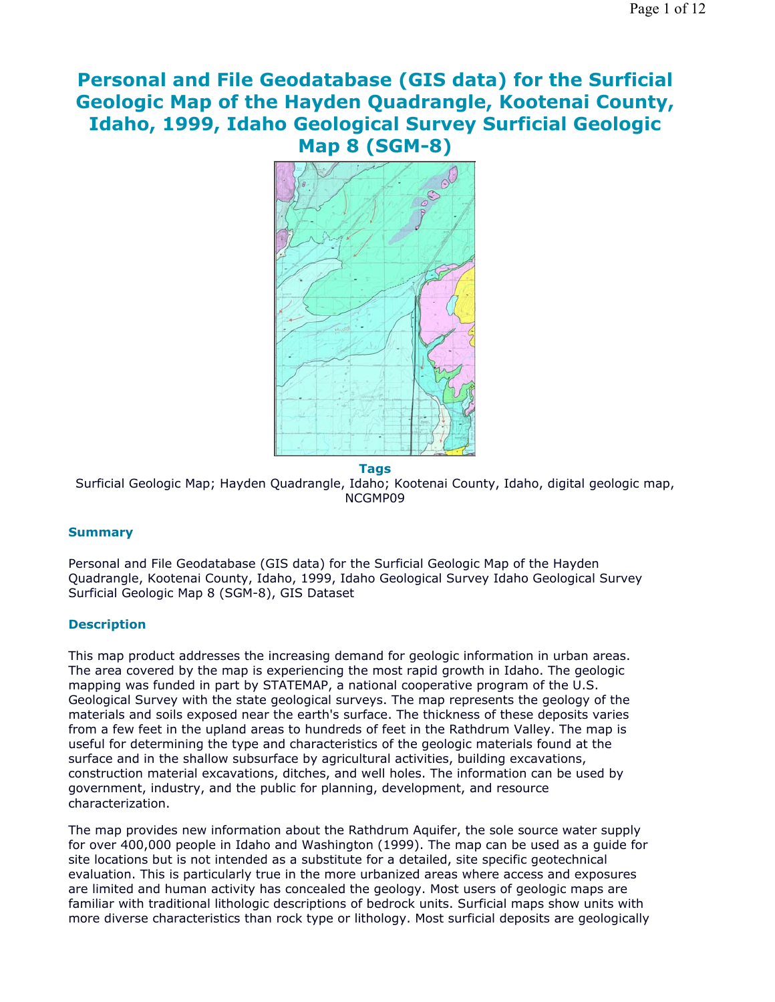# **Personal and File Geodatabase (GIS data) for the Surficial Geologic Map of the Hayden Quadrangle, Kootenai County, Idaho, 1999, Idaho Geological Survey Surficial Geologic Map 8 (SGM-8)**



**Tags** Surficial Geologic Map; Hayden Quadrangle, Idaho; Kootenai County, Idaho, digital geologic map, NCGMP09

# **Summary**

Personal and File Geodatabase (GIS data) for the Surficial Geologic Map of the Hayden Quadrangle, Kootenai County, Idaho, 1999, Idaho Geological Survey Idaho Geological Survey Surficial Geologic Map 8 (SGM-8), GIS Dataset

# **Description**

This map product addresses the increasing demand for geologic information in urban areas. The area covered by the map is experiencing the most rapid growth in Idaho. The geologic mapping was funded in part by STATEMAP, a national cooperative program of the U.S. Geological Survey with the state geological surveys. The map represents the geology of the materials and soils exposed near the earth's surface. The thickness of these deposits varies from a few feet in the upland areas to hundreds of feet in the Rathdrum Valley. The map is useful for determining the type and characteristics of the geologic materials found at the surface and in the shallow subsurface by agricultural activities, building excavations, construction material excavations, ditches, and well holes. The information can be used by government, industry, and the public for planning, development, and resource characterization.

The map provides new information about the Rathdrum Aquifer, the sole source water supply for over 400,000 people in Idaho and Washington (1999). The map can be used as a guide for site locations but is not intended as a substitute for a detailed, site specific geotechnical evaluation. This is particularly true in the more urbanized areas where access and exposures are limited and human activity has concealed the geology. Most users of geologic maps are familiar with traditional lithologic descriptions of bedrock units. Surficial maps show units with more diverse characteristics than rock type or lithology. Most surficial deposits are geologically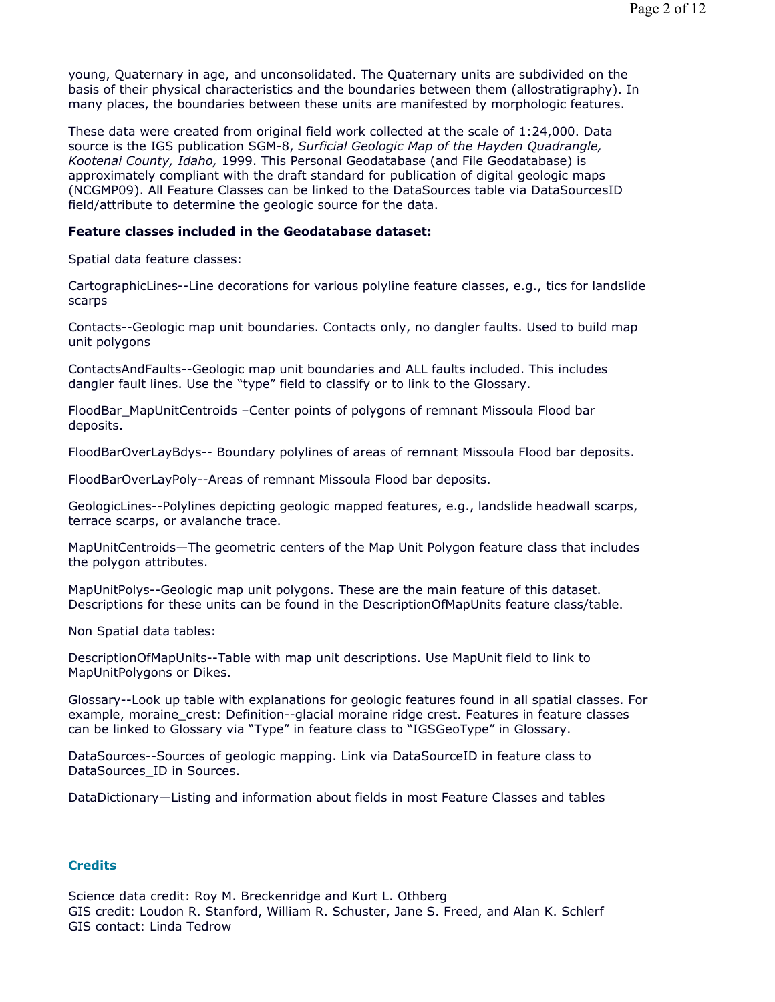young, Quaternary in age, and unconsolidated. The Quaternary units are subdivided on the basis of their physical characteristics and the boundaries between them (allostratigraphy). In many places, the boundaries between these units are manifested by morphologic features.

These data were created from original field work collected at the scale of 1:24,000. Data source is the IGS publication SGM-8, *Surficial Geologic Map of the Hayden Quadrangle, Kootenai County, Idaho,* 1999. This Personal Geodatabase (and File Geodatabase) is approximately compliant with the draft standard for publication of digital geologic maps (NCGMP09). All Feature Classes can be linked to the DataSources table via DataSourcesID field/attribute to determine the geologic source for the data.

## **Feature classes included in the Geodatabase dataset:**

Spatial data feature classes:

CartographicLines--Line decorations for various polyline feature classes, e.g., tics for landslide scarps

Contacts--Geologic map unit boundaries. Contacts only, no dangler faults. Used to build map unit polygons

ContactsAndFaults--Geologic map unit boundaries and ALL faults included. This includes dangler fault lines. Use the "type" field to classify or to link to the Glossary.

FloodBar\_MapUnitCentroids –Center points of polygons of remnant Missoula Flood bar deposits.

FloodBarOverLayBdys-- Boundary polylines of areas of remnant Missoula Flood bar deposits.

FloodBarOverLayPoly--Areas of remnant Missoula Flood bar deposits.

GeologicLines--Polylines depicting geologic mapped features, e.g., landslide headwall scarps, terrace scarps, or avalanche trace.

MapUnitCentroids—The geometric centers of the Map Unit Polygon feature class that includes the polygon attributes.

MapUnitPolys--Geologic map unit polygons. These are the main feature of this dataset. Descriptions for these units can be found in the DescriptionOfMapUnits feature class/table.

Non Spatial data tables:

DescriptionOfMapUnits--Table with map unit descriptions. Use MapUnit field to link to MapUnitPolygons or Dikes.

Glossary--Look up table with explanations for geologic features found in all spatial classes. For example, moraine crest: Definition--glacial moraine ridge crest. Features in feature classes can be linked to Glossary via "Type" in feature class to "IGSGeoType" in Glossary.

DataSources--Sources of geologic mapping. Link via DataSourceID in feature class to DataSources ID in Sources.

DataDictionary—Listing and information about fields in most Feature Classes and tables

## **Credits**

Science data credit: Roy M. Breckenridge and Kurt L. Othberg GIS credit: Loudon R. Stanford, William R. Schuster, Jane S. Freed, and Alan K. Schlerf GIS contact: Linda Tedrow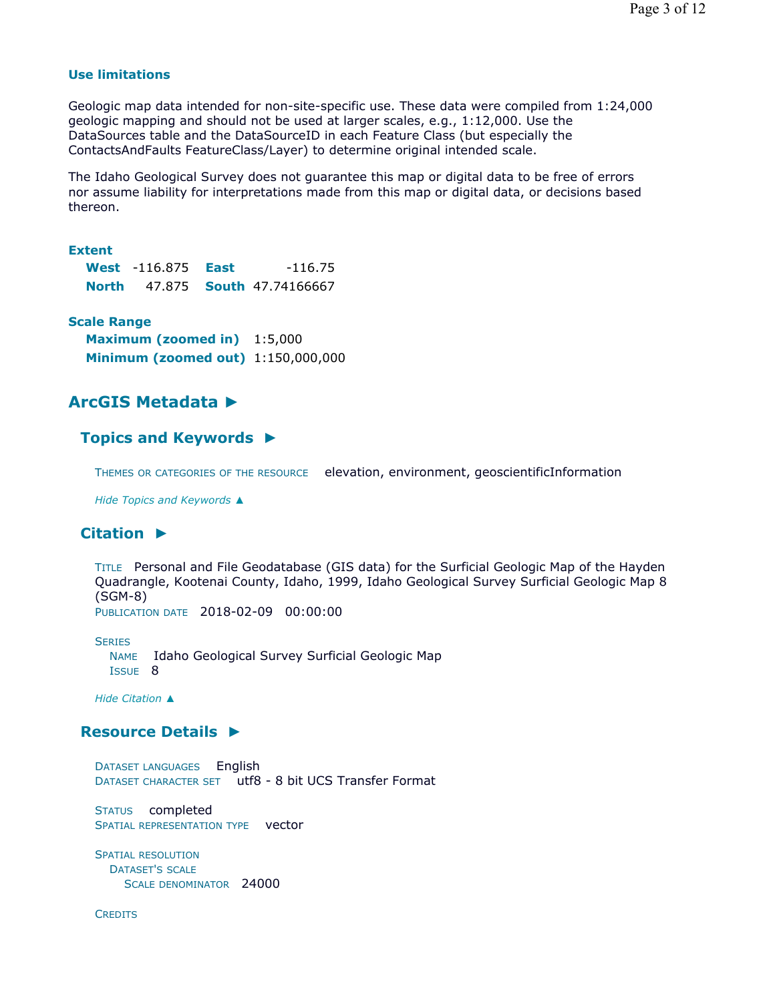## **Use limitations**

Geologic map data intended for non-site-specific use. These data were compiled from 1:24,000 geologic mapping and should not be used at larger scales, e.g., 1:12,000. Use the DataSources table and the DataSourceID in each Feature Class (but especially the ContactsAndFaults FeatureClass/Layer) to determine original intended scale.

The Idaho Geological Survey does not guarantee this map or digital data to be free of errors nor assume liability for interpretations made from this map or digital data, or decisions based thereon.

### **Extent**

|        | <b>West</b> -116.875 | East | $-116.75$                       |
|--------|----------------------|------|---------------------------------|
| North. |                      |      | 47.875 <b>South</b> 47.74166667 |

## **Scale Range**

**Maximum (zoomed in)** 1:5,000 **Minimum (zoomed out)** 1:150,000,000

# **ArcGIS Metadata ►**

# **Topics and Keywords ►**

THEMES OR CATEGORIES OF THE RESOURCE elevation, environment, geoscientificInformation

*Hide Topics and Keywords ▲*

# **Citation ►**

TITLE Personal and File Geodatabase (GIS data) for the Surficial Geologic Map of the Hayden Quadrangle, Kootenai County, Idaho, 1999, Idaho Geological Survey Surficial Geologic Map 8 (SGM-8) PUBLICATION DATE 2018-02-09 00:00:00

**SERIES** NAME Idaho Geological Survey Surficial Geologic Map ISSUE 8

*Hide Citation ▲*

# **Resource Details ►**

DATASET LANGUAGES English DATASET CHARACTER SET utf8 - 8 bit UCS Transfer Format

STATUS completed SPATIAL REPRESENTATION TYPE vector

SPATIAL RESOLUTION DATASET'S SCALE SCALE DENOMINATOR 24000

**CREDITS**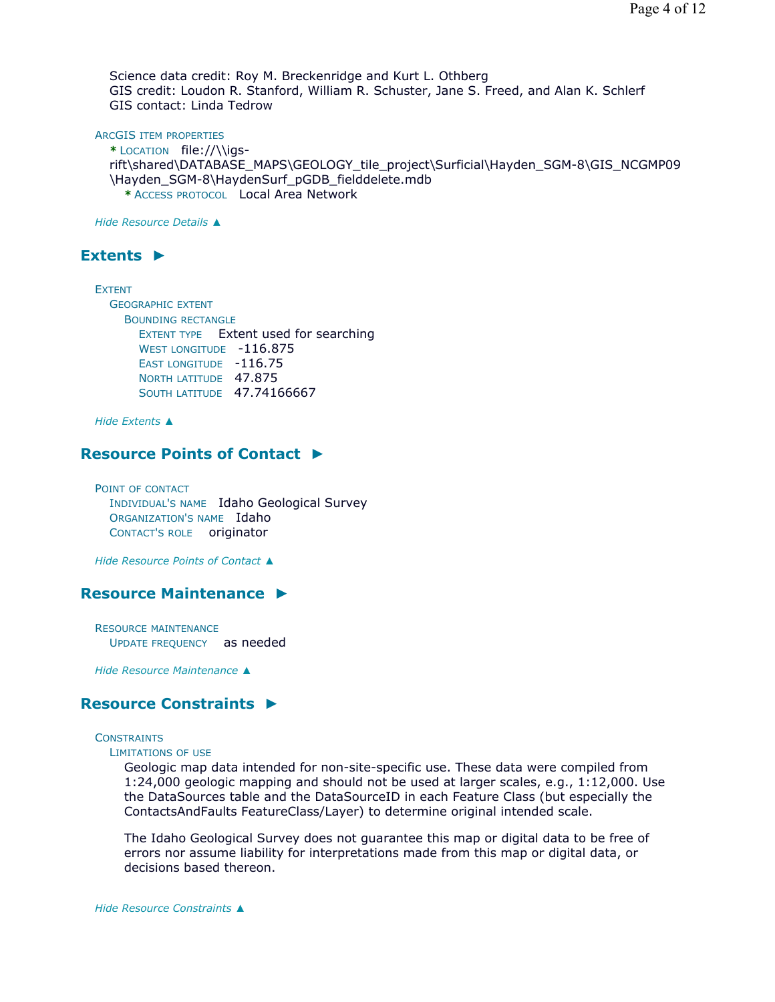Science data credit: Roy M. Breckenridge and Kurt L. Othberg GIS credit: Loudon R. Stanford, William R. Schuster, Jane S. Freed, and Alan K. Schlerf GIS contact: Linda Tedrow

ARCGIS ITEM PROPERTIES

**\*** LOCATION file://\\igsrift\shared\DATABASE\_MAPS\GEOLOGY\_tile\_project\Surficial\Hayden\_SGM-8\GIS\_NCGMP09 \Hayden\_SGM-8\HaydenSurf\_pGDB\_fielddelete.mdb **\*** ACCESS PROTOCOL Local Area Network

*Hide Resource Details ▲*

# **Extents ►**

EXTENT GEOGRAPHIC EXTENT BOUNDING RECTANGLE EXTENT TYPE Extent used for searching WEST LONGITUDE -116.875 EAST LONGITUDE -116.75 NORTH LATITUDE 47.875 **SOUTH LATITUDE 47.74166667** 

*Hide Extents ▲*

# **Resource Points of Contact ►**

POINT OF CONTACT INDIVIDUAL'S NAME Idaho Geological Survey ORGANIZATION'S NAME Idaho CONTACT'S ROLE originator

*Hide Resource Points of Contact ▲*

# **Resource Maintenance ►**

RESOURCE MAINTENANCE UPDATE FREQUENCY as needed

*Hide Resource Maintenance ▲*

# **Resource Constraints ►**

#### **CONSTRAINTS**

```
LIMITATIONS OF USE
```
Geologic map data intended for non-site-specific use. These data were compiled from 1:24,000 geologic mapping and should not be used at larger scales, e.g., 1:12,000. Use the DataSources table and the DataSourceID in each Feature Class (but especially the ContactsAndFaults FeatureClass/Layer) to determine original intended scale.

The Idaho Geological Survey does not guarantee this map or digital data to be free of errors nor assume liability for interpretations made from this map or digital data, or decisions based thereon.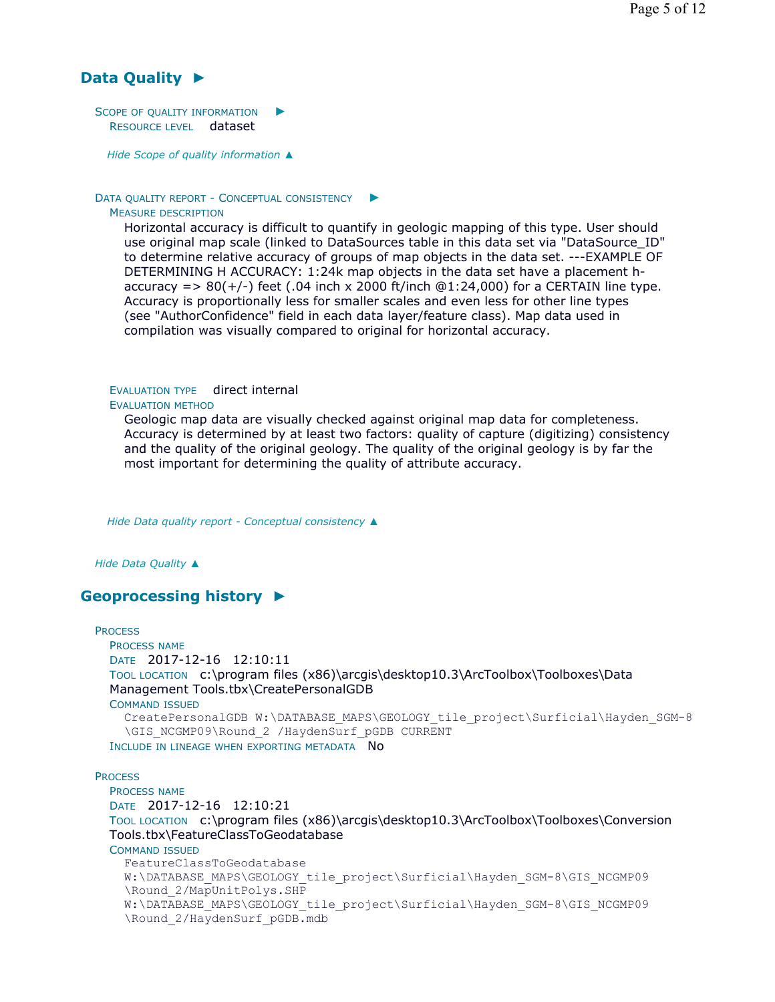# **Data Quality ►**

SCOPE OF QUALITY INFORMATION RESOURCE LEVEL dataset ►

*Hide Scope of quality information ▲*

#### DATA QUALITY REPORT - CONCEPTUAL CONSISTENCY ►

#### MEASURE DESCRIPTION

Horizontal accuracy is difficult to quantify in geologic mapping of this type. User should use original map scale (linked to DataSources table in this data set via "DataSource\_ID" to determine relative accuracy of groups of map objects in the data set. ---EXAMPLE OF DETERMINING H ACCURACY: 1:24k map objects in the data set have a placement haccuracy  $=$  > 80( $+/-$ ) feet (.04 inch x 2000 ft/inch  $@1:24,000$ ) for a CERTAIN line type. Accuracy is proportionally less for smaller scales and even less for other line types (see "AuthorConfidence" field in each data layer/feature class). Map data used in compilation was visually compared to original for horizontal accuracy.

# EVALUATION TYPE direct internal

#### EVALUATION METHOD

Geologic map data are visually checked against original map data for completeness. Accuracy is determined by at least two factors: quality of capture (digitizing) consistency and the quality of the original geology. The quality of the original geology is by far the most important for determining the quality of attribute accuracy.

*Hide Data quality report - Conceptual consistency ▲*

*Hide Data Quality ▲*

# **Geoprocessing history ►**

```
PROCESS
 PROCESS NAME
 DATE 2017-12-16 12:10:11 
 TOOL LOCATION c:\program files (x86)\arcgis\desktop10.3\ArcToolbox\Toolboxes\Data 
 Management Tools.tbx\CreatePersonalGDB 
 COMMAND ISSUED
    CreatePersonalGDB W:\DATABASE_MAPS\GEOLOGY_tile_project\Surficial\Hayden_SGM-8
    \GIS_NCGMP09\Round_2 /HaydenSurf_pGDB CURRENT
 INCLUDE IN LINEAGE WHEN EXPORTING METADATA NO
PROCESS
 PROCESS NAME
 DATE 2017-12-16 12:10:21 
 TOOL LOCATION c:\program files (x86)\arcgis\desktop10.3\ArcToolbox\Toolboxes\Conversion 
 Tools.tbx\FeatureClassToGeodatabase 
 COMMAND ISSUED
    FeatureClassToGeodatabase 
    W:\DATABASE_MAPS\GEOLOGY_tile_project\Surficial\Hayden_SGM-8\GIS_NCGMP09
    \Round_2/MapUnitPolys.SHP 
    W:\DATABASE_MAPS\GEOLOGY_tile_project\Surficial\Hayden_SGM-8\GIS_NCGMP09
    \Round_2/HaydenSurf_pGDB.mdb
```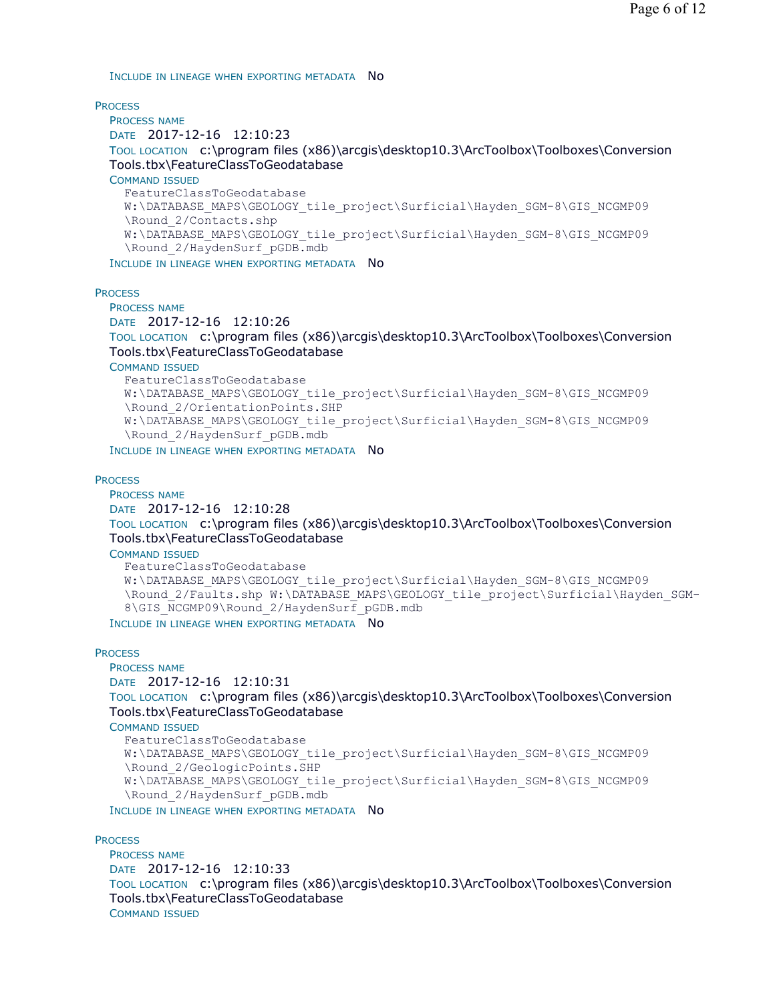INCLUDE IN LINEAGE WHEN EXPORTING METADATA NO

**PROCESS** 

PROCESS NAME DATE 2017-12-16 12:10:23 TOOL LOCATION c:\program files (x86)\arcgis\desktop10.3\ArcToolbox\Toolboxes\Conversion Tools.tbx\FeatureClassToGeodatabase COMMAND ISSUED FeatureClassToGeodatabase W:\DATABASE\_MAPS\GEOLOGY\_tile\_project\Surficial\Hayden\_SGM-8\GIS\_NCGMP09 \Round\_2/Contacts.shp W:\DATABASE\_MAPS\GEOLOGY\_tile\_project\Surficial\Hayden\_SGM-8\GIS\_NCGMP09 \Round\_2/HaydenSurf\_pGDB.mdb

INCLUDE IN LINEAGE WHEN EXPORTING METADATA NO

**PROCESS** 

PROCESS NAME DATE 2017-12-16 12:10:26

TOOL LOCATION c:\program files (x86)\arcgis\desktop10.3\ArcToolbox\Toolboxes\Conversion Tools.tbx\FeatureClassToGeodatabase

COMMAND ISSUED

```
FeatureClassToGeodatabase 
W:\DATABASE_MAPS\GEOLOGY_tile_project\Surficial\Hayden_SGM-8\GIS_NCGMP09
\Round_2/OrientationPoints.SHP 
W:\DATABASE_MAPS\GEOLOGY_tile_project\Surficial\Hayden_SGM-8\GIS_NCGMP09
\Round_2/HaydenSurf_pGDB.mdb
```
INCLUDE IN LINEAGE WHEN EXPORTING METADATA NO

#### **PROCESS**

PROCESS NAME

```
DATE 2017-12-16 12:10:28
```
TOOL LOCATION c:\program files (x86)\arcgis\desktop10.3\ArcToolbox\Toolboxes\Conversion Tools.tbx\FeatureClassToGeodatabase

COMMAND ISSUED

```
FeatureClassToGeodatabase 
W:\DATABASE_MAPS\GEOLOGY_tile_project\Surficial\Hayden_SGM-8\GIS_NCGMP09
\Round_2/Faults.shp W:\DATABASE_MAPS\GEOLOGY_tile_project\Surficial\Hayden_SGM-
8\GIS_NCGMP09\Round_2/HaydenSurf_pGDB.mdb
```
INCLUDE IN LINEAGE WHEN EXPORTING METADATA NO

#### **PROCESS**

```
PROCESS NAME
DATE 2017-12-16 12:10:31 
TOOL LOCATION c:\program files (x86)\arcgis\desktop10.3\ArcToolbox\Toolboxes\Conversion 
Tools.tbx\FeatureClassToGeodatabase 
COMMAND ISSUED
  FeatureClassToGeodatabase 
  W:\DATABASE_MAPS\GEOLOGY_tile_project\Surficial\Hayden_SGM-8\GIS_NCGMP09
  \Round_2/GeologicPoints.SHP 
  W:\DATABASE_MAPS\GEOLOGY_tile_project\Surficial\Hayden_SGM-8\GIS_NCGMP09
  \Round_2/HaydenSurf_pGDB.mdb
INCLUDE IN LINEAGE WHEN EXPORTING METADATA NO
```
**PROCESS** 

```
PROCESS NAME
DATE 2017-12-16 12:10:33 
TOOL LOCATION c:\program files (x86)\arcgis\desktop10.3\ArcToolbox\Toolboxes\Conversion 
Tools.tbx\FeatureClassToGeodatabase 
COMMAND ISSUED
```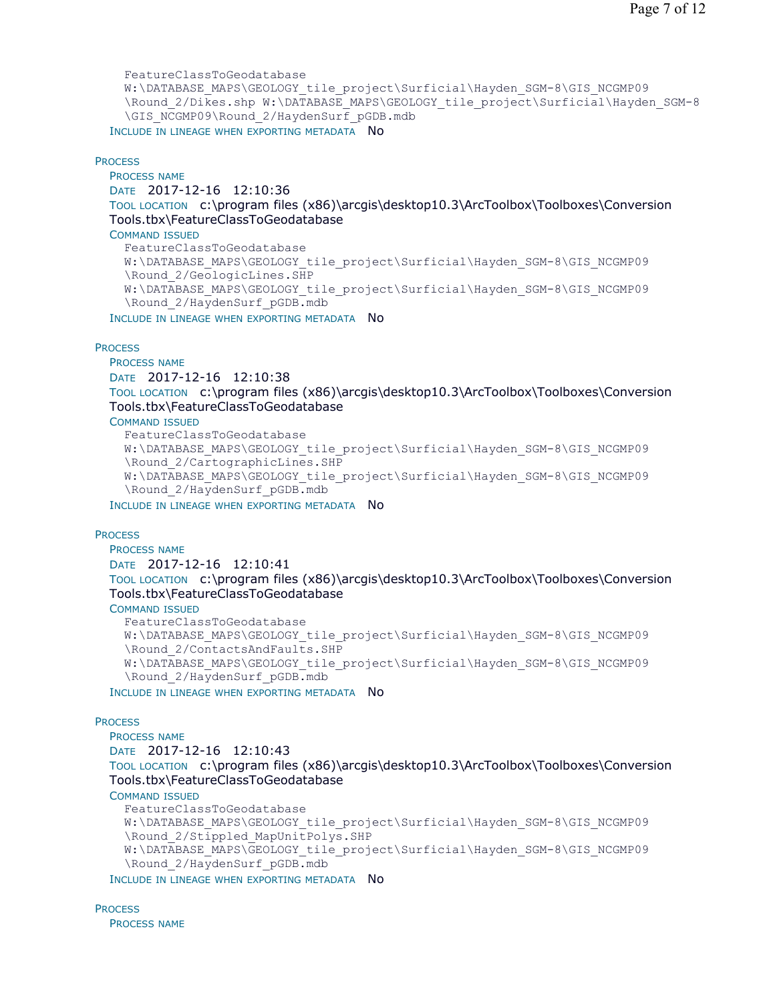```
FeatureClassToGeodatabase 
  W:\DATABASE_MAPS\GEOLOGY_tile_project\Surficial\Hayden_SGM-8\GIS_NCGMP09
  \Round_2/Dikes.shp W:\DATABASE_MAPS\GEOLOGY_tile_project\Surficial\Hayden_SGM-8
  \GIS_NCGMP09\Round_2/HaydenSurf_pGDB.mdb
INCLUDE IN LINEAGE WHEN EXPORTING METADATA NO
```
#### **PROCESS**

PROCESS NAME

DATE 2017-12-16 12:10:36

TOOL LOCATION c:\program files (x86)\arcgis\desktop10.3\ArcToolbox\Toolboxes\Conversion Tools.tbx\FeatureClassToGeodatabase

COMMAND ISSUED

```
FeatureClassToGeodatabase 
  W:\DATABASE_MAPS\GEOLOGY_tile_project\Surficial\Hayden_SGM-8\GIS_NCGMP09
  \Round_2/GeologicLines.SHP 
  W:\DATABASE_MAPS\GEOLOGY_tile_project\Surficial\Hayden_SGM-8\GIS_NCGMP09
  \Round_2/HaydenSurf_pGDB.mdb
INCLUDE IN LINEAGE WHEN EXPORTING METADATA NO
```
**PROCESS** 

PROCESS NAME DATE 2017-12-16 12:10:38 TOOL LOCATION c:\program files (x86)\arcgis\desktop10.3\ArcToolbox\Toolboxes\Conversion Tools.tbx\FeatureClassToGeodatabase

COMMAND ISSUED

```
FeatureClassToGeodatabase 
W:\DATABASE_MAPS\GEOLOGY_tile_project\Surficial\Hayden_SGM-8\GIS_NCGMP09
\Round_2/CartographicLines.SHP 
W:\DATABASE_MAPS\GEOLOGY_tile_project\Surficial\Hayden_SGM-8\GIS_NCGMP09
\Round_2/HaydenSurf_pGDB.mdb
```
INCLUDE IN LINEAGE WHEN EXPORTING METADATA NO

#### **PROCESS**

PROCESS NAME

```
DATE 2017-12-16 12:10:41
```
TOOL LOCATION c:\program files (x86)\arcgis\desktop10.3\ArcToolbox\Toolboxes\Conversion Tools.tbx\FeatureClassToGeodatabase

#### COMMAND ISSUED

```
FeatureClassToGeodatabase 
W:\DATABASE_MAPS\GEOLOGY_tile_project\Surficial\Hayden_SGM-8\GIS_NCGMP09
\Round_2/ContactsAndFaults.SHP 
W:\DATABASE_MAPS\GEOLOGY_tile_project\Surficial\Hayden_SGM-8\GIS_NCGMP09
\Round_2/HaydenSurf_pGDB.mdb
```
INCLUDE IN LINEAGE WHEN EXPORTING METADATA NO

**PROCESS** 

PROCESS NAME DATE 2017-12-16 12:10:43 TOOL LOCATION c:\program files (x86)\arcgis\desktop10.3\ArcToolbox\Toolboxes\Conversion Tools.tbx\FeatureClassToGeodatabase

COMMAND ISSUED

```
FeatureClassToGeodatabase 
W:\DATABASE_MAPS\GEOLOGY_tile_project\Surficial\Hayden_SGM-8\GIS_NCGMP09
\Round_2/Stippled_MapUnitPolys.SHP 
W:\DATABASE_MAPS\GEOLOGY_tile_project\Surficial\Hayden_SGM-8\GIS_NCGMP09
\Round_2/HaydenSurf_pGDB.mdb
```
INCLUDE IN LINEAGE WHEN EXPORTING METADATA NO

**PROCESS** PROCESS NAME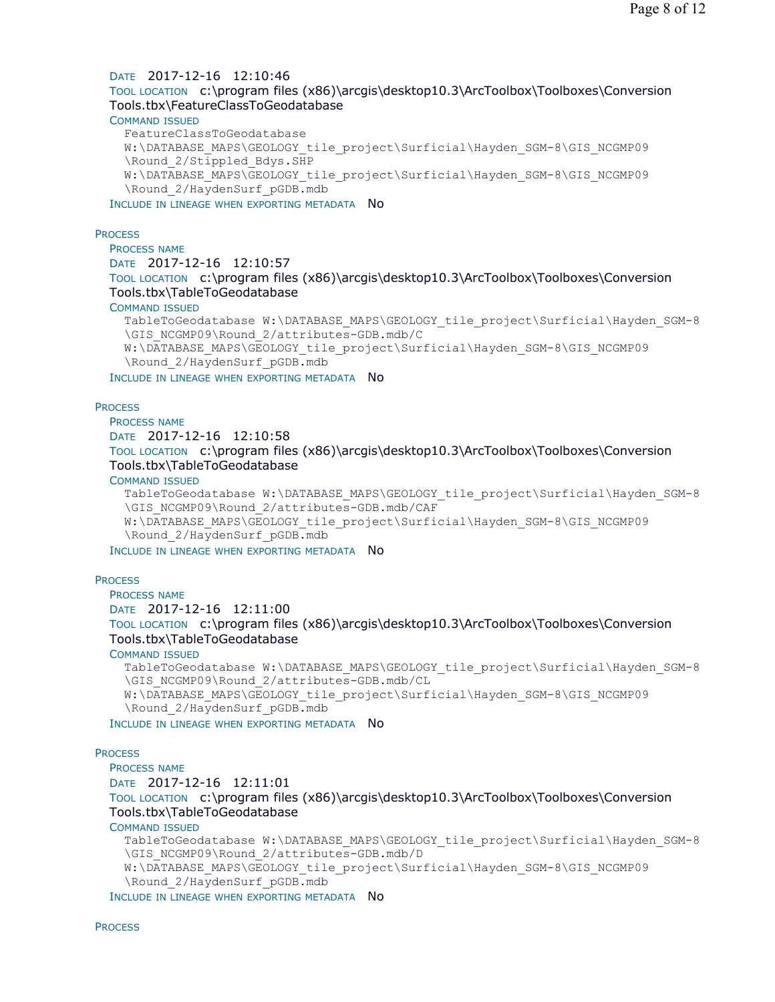## DATE 2017-12-16 12:10:46

# TOOL LOCATION c:\program files (x86)\arcgis\desktop10.3\ArcToolbox\Toolboxes\Conversion Tools.tbx\FeatureClassToGeodatabase

#### COMMAND ISSUED

FeatureClassToGeodatabase W:\DATABASE\_MAPS\GEOLOGY\_tile\_project\Surficial\Hayden\_SGM-8\GIS\_NCGMP09 \Round\_2/Stippled\_Bdys.SHP W:\DATABASE\_MAPS\GEOLOGY\_tile\_project\Surficial\Hayden\_SGM-8\GIS\_NCGMP09 \Round\_2/HaydenSurf\_pGDB.mdb

INCLUDE IN LINEAGE WHEN EXPORTING METADATA NO

#### **PROCESS**

PROCESS NAME DATE 2017-12-16 12:10:57 TOOL LOCATION c:\program files (x86)\arcgis\desktop10.3\ArcToolbox\Toolboxes\Conversion Tools.tbx\TableToGeodatabase COMMAND ISSUED

## TableToGeodatabase W:\DATABASE\_MAPS\GEOLOGY\_tile\_project\Surficial\Hayden\_SGM-8 \GIS\_NCGMP09\Round\_2/attributes-GDB.mdb/C W:\DATABASE\_MAPS\GEOLOGY\_tile\_project\Surficial\Hayden\_SGM-8\GIS\_NCGMP09 \Round\_2/HaydenSurf\_pGDB.mdb

INCLUDE IN LINEAGE WHEN EXPORTING METADATA NO

#### **PROCESS**

PROCESS NAME DATE 2017-12-16 12:10:58 TOOL LOCATION c:\program files (x86)\arcgis\desktop10.3\ArcToolbox\Toolboxes\Conversion Tools.tbx\TableToGeodatabase

#### COMMAND ISSUED

TableToGeodatabase W:\DATABASE\_MAPS\GEOLOGY\_tile\_project\Surficial\Hayden\_SGM-8 \GIS\_NCGMP09\Round\_2/attributes-GDB.mdb/CAF W:\DATABASE\_MAPS\GEOLOGY\_tile\_project\Surficial\Hayden\_SGM-8\GIS\_NCGMP09 \Round\_2/HaydenSurf\_pGDB.mdb

INCLUDE IN LINEAGE WHEN EXPORTING METADATA NO

#### **PROCESS**

PROCESS NAME DATE 2017-12-16 12:11:00

TOOL LOCATION c:\program files (x86)\arcgis\desktop10.3\ArcToolbox\Toolboxes\Conversion Tools.tbx\TableToGeodatabase

### COMMAND ISSUED

```
TableToGeodatabase W:\DATABASE_MAPS\GEOLOGY_tile_project\Surficial\Hayden_SGM-8
\GIS_NCGMP09\Round_2/attributes-GDB.mdb/CL 
W:\DATABASE_MAPS\GEOLOGY_tile_project\Surficial\Hayden_SGM-8\GIS_NCGMP09
\Round_2/HaydenSurf_pGDB.mdb
```
INCLUDE IN LINEAGE WHEN EXPORTING METADATA NO

## **PROCESS**

PROCESS NAME

DATE 2017-12-16 12:11:01

TOOL LOCATION c:\program files (x86)\arcgis\desktop10.3\ArcToolbox\Toolboxes\Conversion Tools.tbx\TableToGeodatabase

#### COMMAND ISSUED

TableToGeodatabase W:\DATABASE\_MAPS\GEOLOGY\_tile\_project\Surficial\Hayden\_SGM-8 \GIS\_NCGMP09\Round\_2/attributes-GDB.mdb/D W:\DATABASE\_MAPS\GEOLOGY\_tile\_project\Surficial\Hayden\_SGM-8\GIS\_NCGMP09 \Round\_2/HaydenSurf\_pGDB.mdb

INCLUDE IN LINEAGE WHEN EXPORTING METADATA NO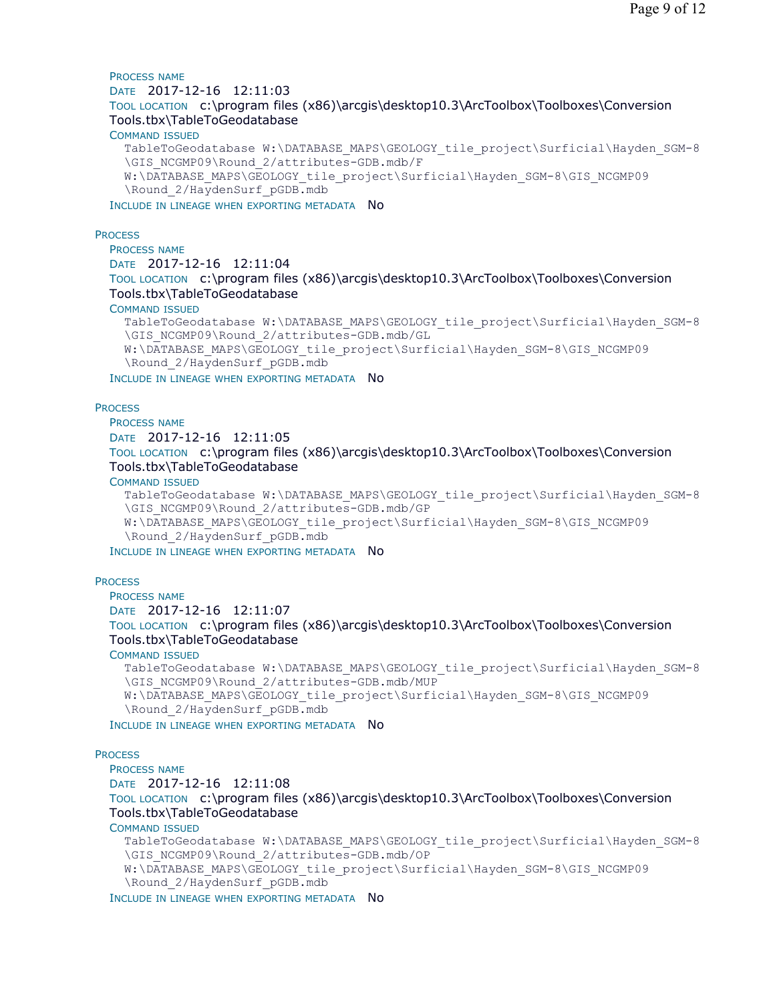## PROCESS NAME DATE 2017-12-16 12:11:03 TOOL LOCATION c:\program files (x86)\arcgis\desktop10.3\ArcToolbox\Toolboxes\Conversion Tools.tbx\TableToGeodatabase COMMAND ISSUED TableToGeodatabase W:\DATABASE\_MAPS\GEOLOGY\_tile\_project\Surficial\Hayden\_SGM-8 \GIS\_NCGMP09\Round\_2/attributes-GDB.mdb/F W:\DATABASE\_MAPS\GEOLOGY\_tile\_project\Surficial\Hayden\_SGM-8\GIS\_NCGMP09 \Round\_2/HaydenSurf\_pGDB.mdb

INCLUDE IN LINEAGE WHEN EXPORTING METADATA NO

#### **PROCESS**

PROCESS NAME

```
DATE 2017-12-16 12:11:04
```
TOOL LOCATION c:\program files (x86)\arcgis\desktop10.3\ArcToolbox\Toolboxes\Conversion Tools.tbx\TableToGeodatabase

#### COMMAND ISSUED

```
TableToGeodatabase W:\DATABASE_MAPS\GEOLOGY_tile_project\Surficial\Hayden_SGM-8
\GIS_NCGMP09\Round_2/attributes-GDB.mdb/GL 
W:\DATABASE_MAPS\GEOLOGY_tile_project\Surficial\Hayden_SGM-8\GIS_NCGMP09
\Round_2/HaydenSurf_pGDB.mdb
```
INCLUDE IN LINEAGE WHEN EXPORTING METADATA NO

#### **PROCESS**

PROCESS NAME

DATE 2017-12-16 12:11:05

TOOL LOCATION c:\program files (x86)\arcgis\desktop10.3\ArcToolbox\Toolboxes\Conversion Tools.tbx\TableToGeodatabase

#### COMMAND ISSUED

```
TableToGeodatabase W:\DATABASE_MAPS\GEOLOGY_tile_project\Surficial\Hayden_SGM-8
  \GIS_NCGMP09\Round_2/attributes-GDB.mdb/GP 
  W:\DATABASE_MAPS\GEOLOGY_tile_project\Surficial\Hayden_SGM-8\GIS_NCGMP09
  \Round_2/HaydenSurf_pGDB.mdb
INCLUDE IN LINEAGE WHEN EXPORTING METADATA NO
```
#### **PROCESS**

PROCESS NAME DATE 2017-12-16 12:11:07

TOOL LOCATION c:\program files (x86)\arcgis\desktop10.3\ArcToolbox\Toolboxes\Conversion Tools.tbx\TableToGeodatabase

### COMMAND ISSUED

```
TableToGeodatabase W:\DATABASE_MAPS\GEOLOGY_tile_project\Surficial\Hayden_SGM-8
\GIS_NCGMP09\Round_2/attributes-GDB.mdb/MUP
W:\DATABASE_MAPS\GEOLOGY_tile_project\Surficial\Hayden_SGM-8\GIS_NCGMP09
\Round_2/HaydenSurf_pGDB.mdb
```
INCLUDE IN LINEAGE WHEN EXPORTING METADATA NO

#### **PROCESS**

PROCESS NAME DATE 2017-12-16 12:11:08 TOOL LOCATION c:\program files (x86)\arcgis\desktop10.3\ArcToolbox\Toolboxes\Conversion Tools.tbx\TableToGeodatabase COMMAND ISSUED TableToGeodatabase W:\DATABASE\_MAPS\GEOLOGY\_tile\_project\Surficial\Hayden\_SGM-8 \GIS\_NCGMP09\Round\_2/attributes-GDB.mdb/OP W:\DATABASE\_MAPS\GEOLOGY\_tile\_project\Surficial\Hayden\_SGM-8\GIS\_NCGMP09 \Round\_2/HaydenSurf\_pGDB.mdb

INCLUDE IN LINEAGE WHEN EXPORTING METADATA NO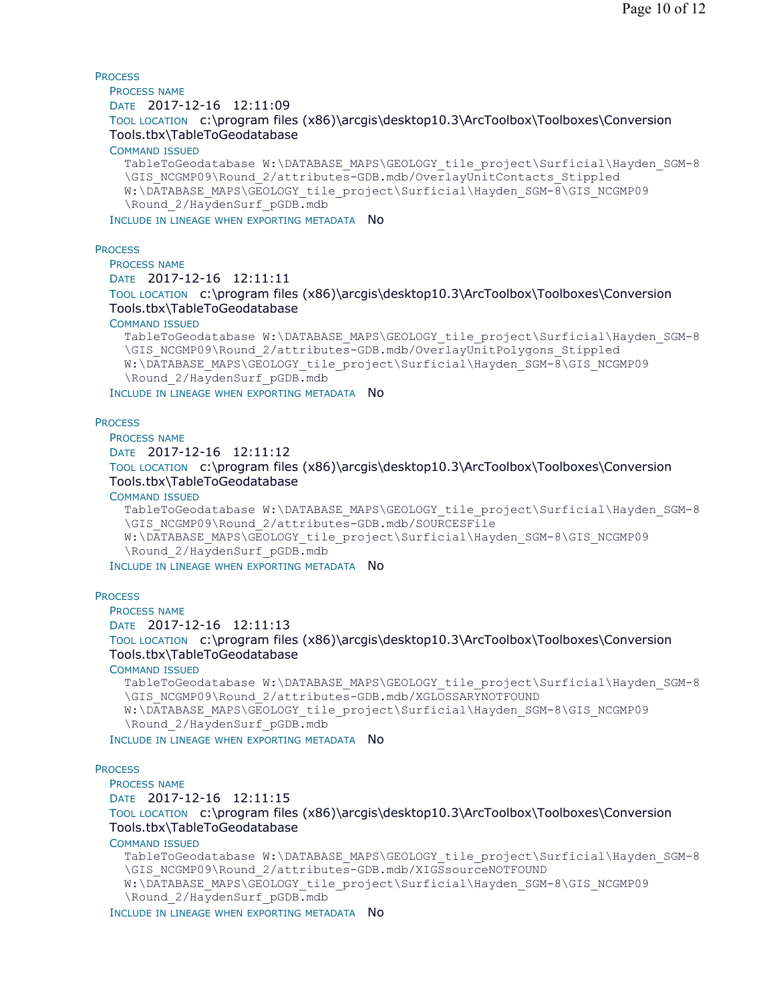**PROCESS** PROCESS NAME DATE 2017-12-16 12:11:09 TOOL LOCATION c:\program files (x86)\arcgis\desktop10.3\ArcToolbox\Toolboxes\Conversion Tools.tbx\TableToGeodatabase COMMAND ISSUED TableToGeodatabase W:\DATABASE\_MAPS\GEOLOGY\_tile\_project\Surficial\Hayden\_SGM-8 \GIS\_NCGMP09\Round\_2/attributes-GDB.mdb/OverlayUnitContacts\_Stippled W:\DATABASE\_MAPS\GEOLOGY\_tile\_project\Surficial\Hayden\_SGM-8\GIS\_NCGMP09 \Round\_2/HaydenSurf\_pGDB.mdb INCLUDE IN LINEAGE WHEN EXPORTING METADATA NO **PROCESS** 

PROCESS NAME DATE 2017-12-16 12:11:11

TOOL LOCATION c:\program files (x86)\arcgis\desktop10.3\ArcToolbox\Toolboxes\Conversion Tools.tbx\TableToGeodatabase

COMMAND ISSUED

```
TableToGeodatabase W:\DATABASE_MAPS\GEOLOGY_tile_project\Surficial\Hayden_SGM-8
\GIS_NCGMP09\Round_2/attributes-GDB.mdb/OverlayUnitPolygons_Stippled 
W:\DATABASE_MAPS\GEOLOGY_tile_project\Surficial\Hayden_SGM-8\GIS_NCGMP09
\Round_2/HaydenSurf_pGDB.mdb
```
INCLUDE IN LINEAGE WHEN EXPORTING METADATA NO

#### **PROCESS**

PROCESS NAME

```
DATE 2017-12-16 12:11:12
```
TOOL LOCATION c:\program files (x86)\arcgis\desktop10.3\ArcToolbox\Toolboxes\Conversion Tools.tbx\TableToGeodatabase

COMMAND ISSUED

```
TableToGeodatabase W:\DATABASE_MAPS\GEOLOGY_tile_project\Surficial\Hayden_SGM-8
\GIS_NCGMP09\Round_2/attributes-GDB.mdb/SOURCESFile 
W:\DATABASE_MAPS\GEOLOGY_tile_project\Surficial\Hayden_SGM-8\GIS_NCGMP09
\Round_2/HaydenSurf_pGDB.mdb
```
INCLUDE IN LINEAGE WHEN EXPORTING METADATA NO

**PROCESS** 

PROCESS NAME DATE 2017-12-16 12:11:13 TOOL LOCATION c:\program files (x86)\arcgis\desktop10.3\ArcToolbox\Toolboxes\Conversion Tools.tbx\TableToGeodatabase

COMMAND ISSUED

```
TableToGeodatabase W:\DATABASE_MAPS\GEOLOGY_tile_project\Surficial\Hayden_SGM-8
  \GIS_NCGMP09\Round_2/attributes-GDB.mdb/XGLOSSARYNOTFOUND 
  W:\DATABASE_MAPS\GEOLOGY_tile_project\Surficial\Hayden_SGM-8\GIS_NCGMP09
  \Round_2/HaydenSurf_pGDB.mdb
INCLUDE IN LINEAGE WHEN EXPORTING METADATA NO
```
#### **PROCESS**

PROCESS NAME DATE 2017-12-16 12:11:15 TOOL LOCATION c:\program files (x86)\arcgis\desktop10.3\ArcToolbox\Toolboxes\Conversion Tools.tbx\TableToGeodatabase COMMAND ISSUED TableToGeodatabase W:\DATABASE\_MAPS\GEOLOGY\_tile\_project\Surficial\Hayden\_SGM-8 \GIS\_NCGMP09\Round\_2/attributes-GDB.mdb/XIGSsourceNOTFOUND W:\DATABASE\_MAPS\GEOLOGY\_tile\_project\Surficial\Hayden\_SGM-8\GIS\_NCGMP09 \Round\_2/HaydenSurf\_pGDB.mdb

INCLUDE IN LINEAGE WHEN EXPORTING METADATA NO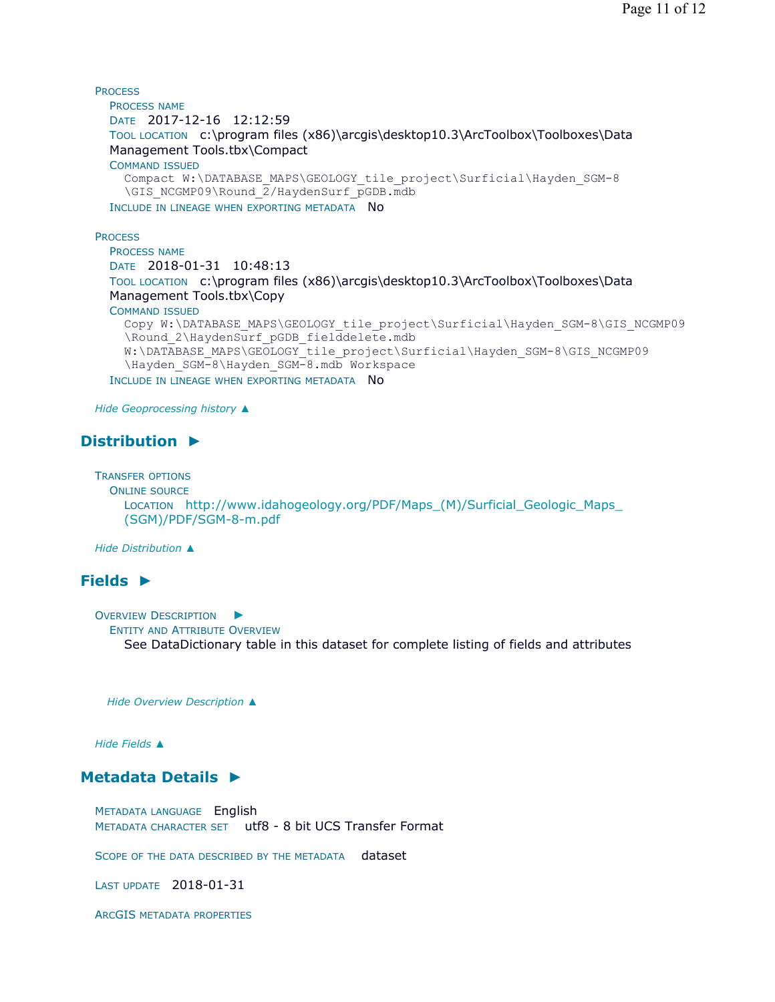```
PROCESS
 PROCESS NAME
 DATE 2017-12-16 12:12:59 
 TOOL LOCATION c:\program files (x86)\arcgis\desktop10.3\ArcToolbox\Toolboxes\Data 
 Management Tools.tbx\Compact 
 COMMAND ISSUED
    Compact W:\DATABASE_MAPS\GEOLOGY_tile_project\Surficial\Hayden_SGM-8
    \GIS_NCGMP09\Round_2/HaydenSurf_pGDB.mdb
 INCLUDE IN LINEAGE WHEN EXPORTING METADATA NO
```
**PROCESS** 

```
PROCESS NAME
DATE 2018-01-31 10:48:13 
TOOL LOCATION  c:\program files (x86)\arcgis\desktop10.3\ArcToolbox\Toolboxes\Data
Management Tools.tbx\Copy 
COMMAND ISSUED
  Copy W:\DATABASE_MAPS\GEOLOGY_tile_project\Surficial\Hayden_SGM-8\GIS_NCGMP09
  \Round_2\HaydenSurf_pGDB_fielddelete.mdb 
  W:\DATABASE_MAPS\GEOLOGY_tile_project\Surficial\Hayden_SGM-8\GIS_NCGMP09
  \Hayden_SGM-8\Hayden_SGM-8.mdb Workspace
INCLUDE IN LINEAGE WHEN EXPORTING METADATA NO
```
*Hide Geoprocessing history ▲*

# **Distribution ►**

TRANSFER OPTIONS

```
ONLINE SOURCE
  LOCATION http://www.idahogeology.org/PDF/Maps_(M)/Surficial_Geologic_Maps_
  (SGM)/PDF/SGM-8-m.pdf
```
*Hide Distribution ▲*

# **Fields ►**

OVERVIEW DESCRIPTION ► ENTITY AND ATTRIBUTE OVERVIEW See DataDictionary table in this dataset for complete listing of fields and attributes

*Hide Overview Description ▲*

*Hide Fields ▲*

# **Metadata Details ►**

METADATA LANGUAGE English METADATA CHARACTER SET utf8 - 8 bit UCS Transfer Format

SCOPE OF THE DATA DESCRIBED BY THE METADATA dataset

LAST UPDATE 2018-01-31

ARCGIS METADATA PROPERTIES